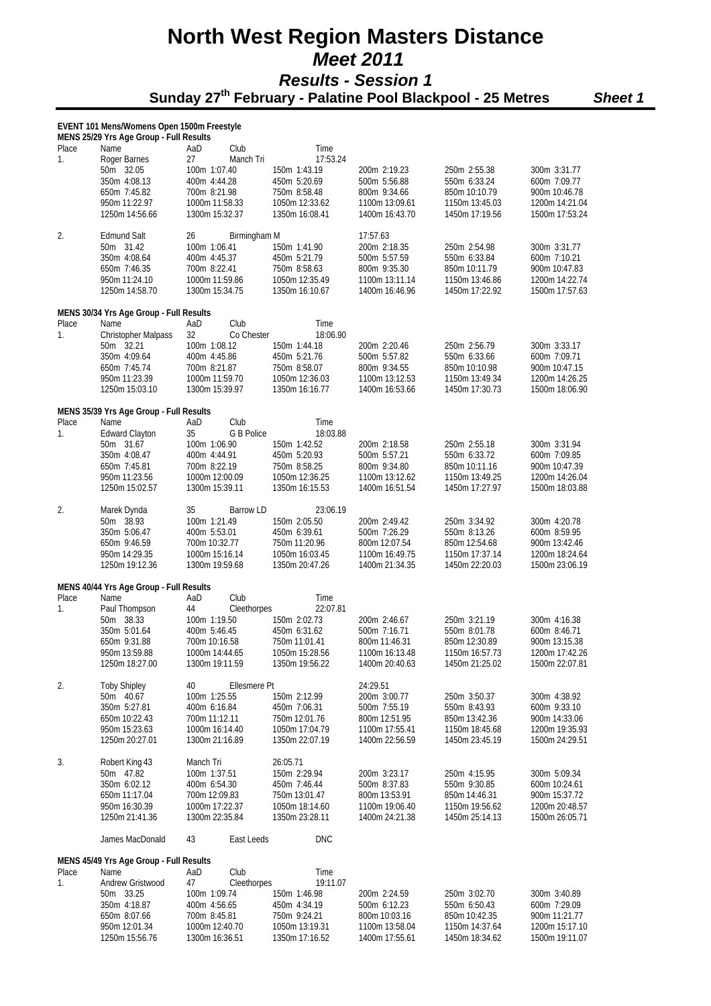### **North West Region Masters Distance**   *Meet 2011 Results - Session 1*   **Sunday 27th February - Palatine Pool Blackpool - 25 Metres** *Sheet 1*

|       | EVENT 101 Mens/Womens Open 1500m Freestyle      |                                    |                                  |                                  |                                  |                                  |
|-------|-------------------------------------------------|------------------------------------|----------------------------------|----------------------------------|----------------------------------|----------------------------------|
| Place | MENS 25/29 Yrs Age Group - Full Results<br>Name | AaD<br>Club                        | Time                             |                                  |                                  |                                  |
| 1.    | Roger Barnes                                    | 27<br>Manch Tri                    | 17:53.24                         |                                  |                                  |                                  |
|       | 50m 32.05<br>350m 4:08.13                       | 100m 1:07.40<br>400m 4:44.28       | 150m 1:43.19<br>450m 5:20.69     | 200m 2:19.23<br>500m 5:56.88     | 250m 2:55.38<br>550m 6:33.24     | 300m 3:31.77<br>600m 7:09.77     |
|       | 650m 7:45.82                                    | 700m 8:21.98                       | 750m 8:58.48                     | 800m 9:34.66                     | 850m 10:10.79                    | 900m 10:46.78                    |
|       | 950m 11:22.97                                   | 1000m 11:58.33                     | 1050m 12:33.62                   | 1100m 13:09.61                   | 1150m 13:45.03                   | 1200m 14:21.04                   |
|       | 1250m 14:56.66                                  | 1300m 15:32.37                     | 1350m 16:08.41                   | 1400m 16:43.70                   | 1450m 17:19.56                   | 1500m 17:53.24                   |
| 2.    | <b>Edmund Salt</b>                              | 26<br>Birmingham M                 |                                  | 17:57.63                         |                                  |                                  |
|       | 50m 31.42<br>350m 4:08.64                       | 100m 1:06.41<br>400m 4:45.37       | 150m 1:41.90<br>450m 5:21.79     | 200m 2:18.35<br>500m 5:57.59     | 250m 2:54.98<br>550m 6:33.84     | 300m 3:31.77<br>600m 7:10.21     |
|       | 650m 7:46.35                                    | 700m 8:22.41                       | 750m 8:58.63                     | 800m 9:35.30                     | 850m 10:11.79                    | 900m 10:47.83                    |
|       | 950m 11:24.10<br>1250m 14:58.70                 | 1000m 11:59.86<br>1300m 15:34.75   | 1050m 12:35.49<br>1350m 16:10.67 | 1100m 13:11.14<br>1400m 16:46.96 | 1150m 13:46.86<br>1450m 17:22.92 | 1200m 14:22.74<br>1500m 17:57.63 |
|       |                                                 |                                    |                                  |                                  |                                  |                                  |
| Place | MENS 30/34 Yrs Age Group - Full Results<br>Name | Club<br>AaD                        | Time                             |                                  |                                  |                                  |
| 1.    | <b>Christopher Malpass</b>                      | 32<br>Co Chester                   | 18:06.90                         |                                  |                                  |                                  |
|       | 50m 32.21<br>350m 4:09.64                       | 100m 1:08.12<br>400m 4:45.86       | 150m 1:44.18<br>450m 5:21.76     | 200m 2:20.46<br>500m 5:57.82     | 250m 2:56.79<br>550m 6:33.66     | 300m 3:33.17<br>600m 7:09.71     |
|       | 650m 7:45.74                                    | 700m 8:21.87                       | 750m 8:58.07                     | 800m 9:34.55                     | 850m 10:10.98                    | 900m 10:47.15                    |
|       | 950m 11:23.39<br>1250m 15:03.10                 | 1000m 11:59.70<br>1300m 15:39.97   | 1050m 12:36.03<br>1350m 16:16.77 | 1100m 13:12.53<br>1400m 16:53.66 | 1150m 13:49.34<br>1450m 17:30.73 | 1200m 14:26.25<br>1500m 18:06.90 |
|       |                                                 |                                    |                                  |                                  |                                  |                                  |
| Place | MENS 35/39 Yrs Age Group - Full Results<br>Name | AaD<br>Club                        | Time                             |                                  |                                  |                                  |
| 1.    | <b>Edward Clayton</b>                           | 35<br>G B Police                   | 18:03.88                         |                                  |                                  |                                  |
|       | 50m 31.67<br>350m 4:08.47                       | 100m 1:06.90<br>400m 4:44.91       | 150m 1:42.52<br>450m 5:20.93     | 200m 2:18.58<br>500m 5:57.21     | 250m 2:55.18<br>550m 6:33.72     | 300m 3:31.94<br>600m 7:09.85     |
|       | 650m 7:45.81                                    | 700m 8:22.19                       | 750m 8:58.25                     | 800m 9:34.80                     | 850m 10:11.16                    | 900m 10:47.39                    |
|       | 950m 11:23.56<br>1250m 15:02.57                 | 1000m 12:00.09<br>1300m 15:39.11   | 1050m 12:36.25<br>1350m 16:15.53 | 1100m 13:12.62<br>1400m 16:51.54 | 1150m 13:49.25<br>1450m 17:27.97 | 1200m 14:26.04<br>1500m 18:03.88 |
|       |                                                 |                                    |                                  |                                  |                                  |                                  |
| 2.    | Marek Dynda<br>50m 38.93                        | 35<br>Barrow LD<br>100m 1:21.49    | 23:06.19<br>150m 2:05.50         | 200m 2:49.42                     | 250m 3:34.92                     | 300m 4:20.78                     |
|       | 350m 5:06.47                                    | 400m 5:53.01                       | 450m 6:39.61                     | 500m 7:26.29                     | 550m 8:13.26                     | 600m 8:59.95                     |
|       | 650m 9:46.59                                    | 700m 10:32.77                      | 750m 11:20.96                    | 800m 12:07.54                    | 850m 12:54.68                    | 900m 13:42.46                    |
|       | 950m 14:29.35<br>1250m 19:12.36                 | 1000m 15:16.14<br>1300m 19:59.68   | 1050m 16:03.45<br>1350m 20:47.26 | 1100m 16:49.75<br>1400m 21:34.35 | 1150m 17:37.14<br>1450m 22:20.03 | 1200m 18:24.64<br>1500m 23:06.19 |
|       | MENS 40/44 Yrs Age Group - Full Results         |                                    |                                  |                                  |                                  |                                  |
| Place | Name                                            | Club<br>AaD                        | Time                             |                                  |                                  |                                  |
| 1.    | Paul Thompson                                   | 44<br>Cleethorpes                  | 22:07.81                         |                                  |                                  |                                  |
|       | 50m 38.33<br>350m 5:01.64                       | 100m 1:19.50<br>400m 5:46.45       | 150m 2:02.73<br>450m 6:31.62     | 200m 2:46.67<br>500m 7:16.71     | 250m 3:21.19<br>550m 8:01.78     | 300m 4:16.38<br>600m 8:46.71     |
|       | 650m 9:31.88                                    | 700m 10:16.58                      | 750m 11:01.41                    | 800m 11:46.31                    | 850m 12:30.89                    | 900m 13:15.38                    |
|       | 950m 13:59.88<br>1250m 18:27.00                 | 1000m 14:44.65<br>1300m 19:11.59   | 1050m 15:28.56<br>1350m 19:56.22 | 1100m 16:13.48<br>1400m 20:40.63 | 1150m 16:57.73<br>1450m 21:25.02 | 1200m 17:42.26<br>1500m 22:07.81 |
|       |                                                 |                                    |                                  |                                  |                                  |                                  |
| 2.    | <b>Toby Shipley</b><br>50m 40.67                | 40<br>Ellesmere Pt<br>100m 1:25.55 | 150m 2:12.99                     | 24:29.51<br>200m 3:00.77         | 250m 3:50.37                     | 300m 4:38.92                     |
|       | 350m 5:27.81                                    | 400m 6:16.84                       | 450m 7:06.31                     | 500m 7:55.19                     | 550m 8:43.93                     | 600m 9:33.10                     |
|       | 650m 10:22.43<br>950m 15:23.63                  | 700m 11:12.11<br>1000m 16:14.40    | 750m 12:01.76<br>1050m 17:04.79  | 800m 12:51.95<br>1100m 17:55.41  | 850m 13:42.36<br>1150m 18:45.68  | 900m 14:33.06<br>1200m 19:35.93  |
|       | 1250m 20:27.01                                  | 1300m 21:16.89                     | 1350m 22:07.19                   | 1400m 22:56.59                   | 1450m 23:45.19                   | 1500m 24:29.51                   |
| 3.    | Robert King 43                                  | Manch Tri                          | 26:05.71                         |                                  |                                  |                                  |
|       | 50m 47.82                                       | 100m 1:37.51                       | 150m 2:29.94                     | 200m 3:23.17                     | 250m 4:15.95                     | 300m 5:09.34                     |
|       | 350m 6:02.12                                    | 400m 6:54.30                       | 450m 7:46.44                     | 500m 8:37.83                     | 550m 9:30.85                     | 600m 10:24.61                    |
|       | 650m 11:17.04<br>950m 16:30.39                  | 700m 12:09.83<br>1000m 17:22.37    | 750m 13:01.47<br>1050m 18:14.60  | 800m 13:53.91<br>1100m 19:06.40  | 850m 14:46.31<br>1150m 19:56.62  | 900m 15:37.72<br>1200m 20:48.57  |
|       | 1250m 21:41.36                                  | 1300m 22:35.84                     | 1350m 23:28.11                   | 1400m 24:21.38                   | 1450m 25:14.13                   | 1500m 26:05.71                   |
|       | James MacDonald                                 | 43<br>East Leeds                   | <b>DNC</b>                       |                                  |                                  |                                  |
|       | MENS 45/49 Yrs Age Group - Full Results         |                                    |                                  |                                  |                                  |                                  |
| Place | Name                                            | Club<br>AaD                        | Time                             |                                  |                                  |                                  |
| 1.    | Andrew Gristwood<br>50m 33.25                   | Cleethorpes<br>47<br>100m 1:09.74  | 19:11.07<br>150m 1:46.98         | 200m 2:24.59                     | 250m 3:02.70                     | 300m 3:40.89                     |
|       | 350m 4:18.87                                    | 400m 4:56.65                       | 450m 4:34.19                     | 500m 6:12.23                     | 550m 6:50.43                     | 600m 7:29.09                     |
|       | 650m 8:07.66<br>950m 12:01.34                   | 700m 8:45.81<br>1000m 12:40.70     | 750m 9:24.21<br>1050m 13:19.31   | 800m 10:03.16<br>1100m 13:58.04  | 850m 10:42.35<br>1150m 14:37.64  | 900m 11:21.77<br>1200m 15:17.10  |
|       | 1250m 15:56.76                                  | 1300m 16:36.51                     | 1350m 17:16.52                   | 1400m 17:55.61                   | 1450m 18:34.62                   | 1500m 19:11.07                   |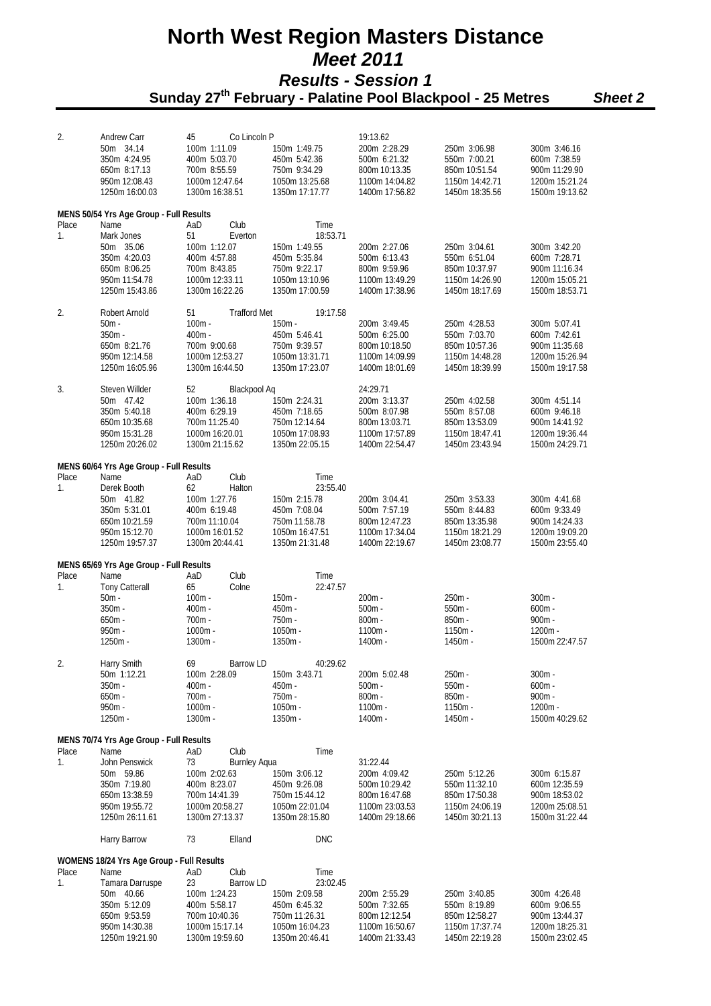| 2.             | Andrew Carr                                     | Co Lincoln P<br>45              |                                 | 19:13.62                        |                                 |                                 |
|----------------|-------------------------------------------------|---------------------------------|---------------------------------|---------------------------------|---------------------------------|---------------------------------|
|                | 50m 34.14                                       | 100m 1:11.09                    | 150m 1:49.75                    | 200m 2:28.29                    | 250m 3:06.98                    | 300m 3:46.16                    |
|                | 350m 4:24.95                                    | 400m 5:03.70                    | 450m 5:42.36                    | 500m 6:21.32                    | 550m 7:00.21                    | 600m 7:38.59                    |
|                | 650m 8:17.13                                    | 700m 8:55.59                    | 750m 9:34.29                    | 800m 10:13.35                   | 850m 10:51.54                   | 900m 11:29.90                   |
|                | 950m 12:08.43                                   | 1000m 12:47.64                  | 1050m 13:25.68                  | 1100m 14:04.82                  | 1150m 14:42.71                  | 1200m 15:21.24                  |
|                | 1250m 16:00.03                                  | 1300m 16:38.51                  | 1350m 17:17.77                  | 1400m 17:56.82                  | 1450m 18:35.56                  | 1500m 19:13.62                  |
|                | MENS 50/54 Yrs Age Group - Full Results         |                                 |                                 |                                 |                                 |                                 |
| Place          | Name                                            | Club<br>AaD                     | Time                            |                                 |                                 |                                 |
| 1.             | Mark Jones                                      | 51<br>Everton                   | 18:53.71                        |                                 |                                 |                                 |
|                | 50m 35.06                                       | 100m 1:12.07                    | 150m 1:49.55                    | 200m 2:27.06                    | 250m 3:04.61                    | 300m 3:42.20                    |
|                | 350m 4:20.03                                    | 400m 4:57.88                    | 450m 5:35.84                    | 500m 6:13.43                    | 550m 6:51.04                    | 600m 7:28.71                    |
|                | 650m 8:06.25                                    | 700m 8:43.85                    | 750m 9:22.17                    | 800m 9:59.96                    | 850m 10:37.97                   | 900m 11:16.34                   |
|                | 950m 11:54.78                                   | 1000m 12:33.11                  | 1050m 13:10.96                  | 1100m 13:49.29                  | 1150m 14:26.90                  | 1200m 15:05.21                  |
|                | 1250m 15:43.86                                  | 1300m 16:22.26                  | 1350m 17:00.59                  | 1400m 17:38.96                  | 1450m 18:17.69                  | 1500m 18:53.71                  |
| 2.             | Robert Arnold                                   | 51<br><b>Trafford Met</b>       | 19:17.58                        |                                 |                                 |                                 |
|                | $50m -$                                         | $100m -$                        | $150m -$                        | 200m 3:49.45                    | 250m 4:28.53                    | 300m 5:07.41                    |
|                | $350m -$                                        | $400m -$                        | 450m 5:46.41                    | 500m 6:25.00                    | 550m 7:03.70                    | 600m 7:42.61                    |
|                | 650m 8:21.76                                    | 700m 9:00.68                    | 750m 9:39.57                    | 800m 10:18.50                   | 850m 10:57.36                   | 900m 11:35.68                   |
|                | 950m 12:14.58                                   | 1000m 12:53.27                  | 1050m 13:31.71                  | 1100m 14:09.99                  | 1150m 14:48.28                  | 1200m 15:26.94                  |
|                | 1250m 16:05.96                                  | 1300m 16:44.50                  | 1350m 17:23.07                  | 1400m 18:01.69                  | 1450m 18:39.99                  | 1500m 19:17.58                  |
| 3.             | Steven Willder                                  | 52<br>Blackpool Aq              |                                 | 24:29.71                        |                                 |                                 |
|                | 50m 47.42                                       | 100m 1:36.18                    | 150m 2:24.31                    | 200m 3:13.37                    | 250m 4:02.58                    | 300m 4:51.14                    |
|                | 350m 5:40.18                                    | 400m 6:29.19                    | 450m 7:18.65                    | 500m 8:07.98                    | 550m 8:57.08                    | 600m 9:46.18                    |
|                | 650m 10:35.68                                   | 700m 11:25.40                   | 750m 12:14.64                   | 800m 13:03.71                   | 850m 13:53.09                   | 900m 14:41.92                   |
|                | 950m 15:31.28                                   | 1000m 16:20.01                  | 1050m 17:08.93                  | 1100m 17:57.89                  | 1150m 18:47.41                  | 1200m 19:36.44                  |
|                | 1250m 20:26.02                                  | 1300m 21:15.62                  | 1350m 22:05.15                  | 1400m 22:54.47                  | 1450m 23:43.94                  | 1500m 24:29.71                  |
|                |                                                 |                                 |                                 |                                 |                                 |                                 |
| Place          | MENS 60/64 Yrs Age Group - Full Results<br>Name | Club<br>AaD                     | Time                            |                                 |                                 |                                 |
| $\mathbf{1}$ . | Derek Booth                                     | 62<br>Halton                    | 23:55.40                        |                                 |                                 |                                 |
|                | 50m 41.82                                       | 100m 1:27.76                    | 150m 2:15.78                    | 200m 3:04.41                    | 250m 3:53.33                    | 300m 4:41.68                    |
|                | 350m 5:31.01                                    | 400m 6:19.48                    | 450m 7:08.04                    | 500m 7:57.19                    | 550m 8:44.83                    | 600m 9:33.49                    |
|                | 650m 10:21.59                                   | 700m 11:10.04                   | 750m 11:58.78                   | 800m 12:47.23                   | 850m 13:35.98                   | 900m 14:24.33                   |
|                | 950m 15:12.70                                   | 1000m 16:01.52                  | 1050m 16:47.51                  | 1100m 17:34.04                  | 1150m 18:21.29                  | 1200m 19:09.20                  |
|                | 1250m 19:57.37                                  | 1300m 20:44.41                  | 1350m 21:31.48                  | 1400m 22:19.67                  | 1450m 23:08.77                  | 1500m 23:55.40                  |
|                | MENS 65/69 Yrs Age Group - Full Results         |                                 |                                 |                                 |                                 |                                 |
| Place          | Name                                            | Club<br>AaD                     | Time                            |                                 |                                 |                                 |
| 1.             | <b>Tony Catterall</b>                           | 65<br>Colne                     | 22:47.57                        |                                 |                                 |                                 |
|                | $50m -$                                         | $100m -$                        | 150m -                          | $200m -$                        | 250m -                          | $300m -$                        |
|                | $350m -$                                        | $400m -$                        | 450m -                          | $500m -$                        | $550m -$                        | $600m -$                        |
|                | $650m -$                                        | $700m -$                        | 750m -                          | $800m -$                        | 850m -                          | $900m -$                        |
|                | $950m -$                                        | $1000m -$                       | 1050m -                         | 1100m -                         | $1150m -$                       | 1200m -                         |
|                | 1250m -                                         | 1300m -                         | 1350m -                         | 1400m -                         | 1450m -                         | 1500m 22:47.57                  |
| 2.             | Harry Smith                                     | 69<br>Barrow LD                 | 40:29.62                        |                                 |                                 |                                 |
|                | 50m 1:12.21                                     | 100m 2:28.09                    | 150m 3:43.71                    | 200m 5:02.48                    | 250m -                          | $300m -$                        |
|                | $350m -$                                        | $400m -$                        | $450m -$                        | $500m -$                        | $550m -$                        | $600m -$                        |
|                | $650m -$                                        | $700m -$                        | $750m -$                        | $800m -$                        | $850m -$                        | $900m -$                        |
|                | $950m -$                                        | $1000m -$                       | $1050m -$                       | $1100m -$                       | $1150m -$                       | $1200m -$                       |
|                | $1250m -$                                       | 1300m -                         | 1350m -                         | 1400m -                         | 1450m -                         | 1500m 40:29.62                  |
|                | MENS 70/74 Yrs Age Group - Full Results         |                                 |                                 |                                 |                                 |                                 |
| Place          | Name                                            | Club<br>AaD                     | Time                            |                                 |                                 |                                 |
| 1.             | John Penswick                                   | 73<br><b>Burnley Agua</b>       |                                 | 31:22.44                        |                                 |                                 |
|                | 50m 59.86                                       | 100m 2:02.63                    | 150m 3:06.12                    | 200m 4:09.42                    | 250m 5:12.26                    | 300m 6:15.87                    |
|                | 350m 7:19.80                                    | 400m 8:23.07                    | 450m 9:26.08                    | 500m 10:29.42                   | 550m 11:32.10                   | 600m 12:35.59                   |
|                | 650m 13:38.59                                   | 700m 14:41.39                   | 750m 15:44.12                   | 800m 16:47.68                   | 850m 17:50.38                   | 900m 18:53.02                   |
|                | 950m 19:55.72                                   | 1000m 20:58.27                  | 1050m 22:01.04                  | 1100m 23:03.53                  | 1150m 24:06.19                  | 1200m 25:08.51                  |
|                | 1250m 26:11.61                                  | 1300m 27:13.37                  | 1350m 28:15.80                  | 1400m 29:18.66                  | 1450m 30:21.13                  | 1500m 31:22.44                  |
|                | Harry Barrow                                    | 73<br>Elland                    | <b>DNC</b>                      |                                 |                                 |                                 |
|                | WOMENS 18/24 Yrs Age Group - Full Results       |                                 |                                 |                                 |                                 |                                 |
| Place          | Name                                            | Club<br>AaD                     | Time                            |                                 |                                 |                                 |
| 1.             | Tamara Darruspe                                 | 23<br>Barrow LD                 | 23:02.45                        |                                 |                                 |                                 |
|                | 50m 40.66                                       | 100m 1:24.23                    | 150m 2:09.58                    | 200m 2:55.29                    | 250m 3:40.85                    | 300m 4:26.48                    |
|                | 350m 5:12.09                                    | 400m 5:58.17                    | 450m 6:45.32                    | 500m 7:32.65                    | 550m 8:19.89                    | 600m 9:06.55                    |
|                | 650m 9:53.59<br>950m 14:30.38                   | 700m 10:40.36<br>1000m 15:17.14 | 750m 11:26.31<br>1050m 16:04.23 | 800m 12:12.54<br>1100m 16:50.67 | 850m 12:58.27<br>1150m 17:37.74 | 900m 13:44.37<br>1200m 18:25.31 |
|                | 1250m 19:21.90                                  | 1300m 19:59.60                  | 1350m 20:46.41                  | 1400m 21:33.43                  | 1450m 22:19.28                  | 1500m 23:02.45                  |
|                |                                                 |                                 |                                 |                                 |                                 |                                 |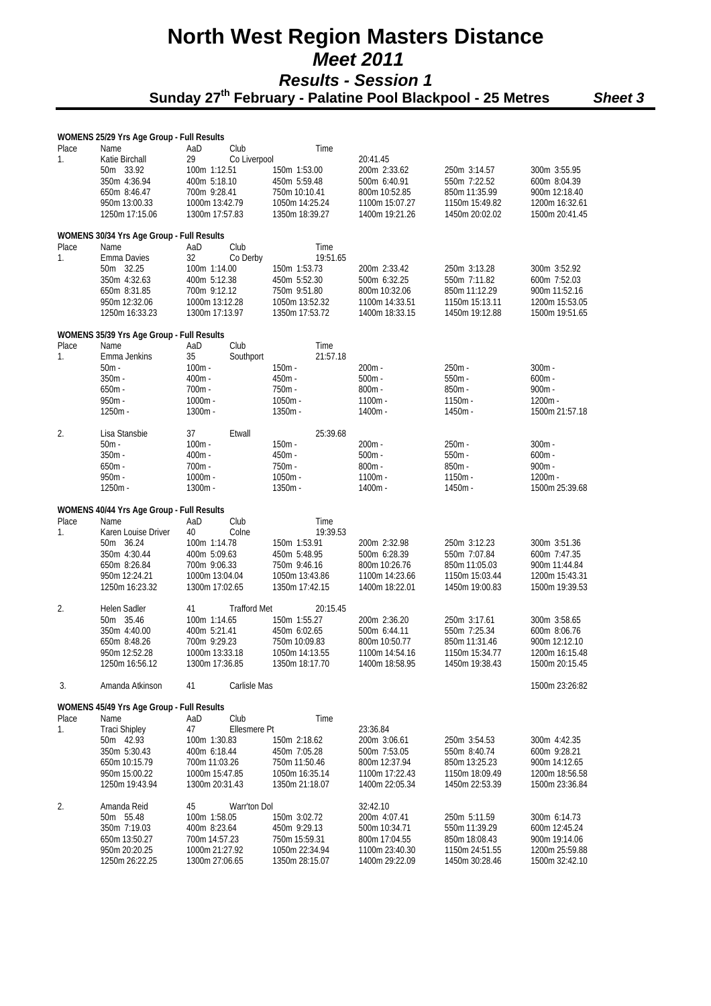### **North West Region Masters Distance**   *Meet 2011 Results - Session 1*   **Sunday 27th February - Palatine Pool Blackpool - 25 Metres** *Sheet 3*

### **WOMENS 25/29 Yrs Age Group - Full Results**  Place Name **AaD** Club Time 1. Katie Birchall 29 Co Liverpool 20:41.45 50m 33.92 100m 1:12.51 150m 1:53.00 200m 2:33.62 250m 3:14.57 300m 3:55.95 350m 4:36.94 400m 5:18.10 450m 5:59.48 500m 6:40.91 550m 7:22.52 600m 8:04.39 650m 8:46.47 700m 9:28.41 750m 10:10.41 800m 10:52.85 850m 11:35.99 900m 12:18.40 950m 13:00.33 1000m 13:42.79 1050m 14:25.24 1100m 15:07.27 1150m 15:49.82 1200m 16:32.61 1400m 19:21.26 **WOMENS 30/34 Yrs Age Group - Full Results**  Place Name **AaD** Club Time 1. Emma Davies 32 Co Derby 19:51.65<br>50m 32.25 100m 1:14.00 150m 1:53.73 50m 32.25 100m 1:14.00 150m 1:53.73 200m 2:33.42 250m 3:13.28 300m 3:52.92 350m 4:32.63 400m 5:12.38 450m 5:52.30 500m 6:32.25 550m 7:11.82 600m 7:52.03 650m 8:31.85 700m 9:12.12 750m 9:51.80 800m 10:32.06 850m 11:12.29 900m 11:52.16 950m 12:32.06 1000m 13:12.28 1050m 13:52.32 1100m 14:33.51 1150m 15:13.11 1200m 15:53.05<br>1250m 16:33.23 1300m 17:13.97 1350m 17:53.72 1400m 18:33.15 1450m 19:12.88 1500m 19:51.65 1250m 16:33.23 1300m 17:13.97 1350m 17:53.72 1400m 18:33.15 1450m 19:12.88 1500m 19:51.65 **WOMENS 35/39 Yrs Age Group - Full Results**  Place Name **AaD** Club Time 1. Emma Jenkins 35 Southport 21:57.18<br>50m - 100m - 100m - 150m - 50m - 100m - 150m - 200m - 250m - 300m - 350m - 400m - 450m - 500m - 550m - 600m - 650m - 700m - 750m - 800m - 850m - 900m - 950m - 1000m - 1050m - 1100m - 1150m - 1200m - 1250m - 1300m - 1350m - 1400m - 1450m - 1500m 21:57.18 2. Lisa Stansbie 37 Etwall 25:39.68 50m - 100m - 150m - 200m - 250m - 300m - 350m - 400m - 450m - 500m - 550m - 600m - 650m - 700m - 750m - 800m - 850m - 900m - 950m - 1000m - 1050m - 1100m - 1150m - 1200m - 1250m - 1300m - 1350m - 1400m - 1450m - 1500m 25:39.68 **WOMENS 40/44 Yrs Age Group - Full Results**  Place Name **AaD** Club Time 1. Karen Louise Driver 40 Colne 19:39.53 50m 36.24 100m 1:14.78 150m 1:53.91 200m 2:32.98 250m 3:12.23 300m 3:51.36 350m 4:30.44 400m 5:09.63 450m 5:48.95 500m 6:28.39 550m 7:07.84 600m 7:47.35 650m 8:26.84 700m 9:06.33 750m 9:46.16 800m 10:26.76 850m 11:05.03 900m 11:44.84 950m 12:24.21 1000m 13:04.04 1050m 13:43.86 1100m 14:23.66 1150m 15:03.44 1200m 15:43.31 1250m 16:23.32 1300m 17:02.65 1350m 17:42.15 1400m 18:22.01 1450m 19:00.83 1500m 19:39.53  $\mathfrak{D}$ Helen Sadler 41 Trafford Met 20:15.45<br>50m 35.46 100m 1:14.65 150m 1:55.27 50m 35.46 100m 1:14.65 150m 1:55.27 200m 2:36.20 250m 3:17.61 300m 3:58.65 350m 4:40.00 400m 5:21.41 450m 6:02.65 500m 6:44.11 550m 7:25.34 600m 8:06.76 650m 8:48.26 700m 9:29.23 750m 10:09.83 800m 10:50.77 850m 11:31.46 900m 12:12.10 950m 12:52.28 1000m 13:33.18 1050m 14:13.55 1100m 14:54.16 1150m 15:34.77 1200m 16:15.48 1250m 16:56.12 1300m 17:36.85 1350m 18:17.70 1400m 18:58.95 1450m 19:38.43 1500m 20:15.45 3. Amanda Atkinson 41 Carlisle Mas 1500m 23:26:82 **WOMENS 45/49 Yrs Age Group - Full Results**  Place Name **AaD** Club Time 1. Traci Shipley 47 Ellesmere Pt 23:36.84<br>
50m 42.93 100m 1:30.83 150m 2:18.62 200m 3:06.61 50m 42.93 100m 1:30.83 150m 2:18.62 200m 3:06.61 250m 3:54.53 300m 4:42.35 350m 5:30.43 400m 6:18.44 450m 7:05.28 500m 7:53.05 550m 8:40.74 600m 9:28.21 650m 10:15.79 700m 11:03.26 750m 11:50.46 800m 12:37.94 850m 13:25.23 900m 14:12.65 950m 15:00.22 1000m 15:47.85 1050m 16:35.14 1100m 17:22.43 1150m 18:09.49 1200m 18:56.58 1250m 19:43.94 1300m 20:31.43 1350m 21:18.07 1400m 22:05.34 1450m 22:53.39 1500m 23:36.84 2. Amanda Reid 45 Warr'ton Dol 32:42.10 50m 55.48 100m 1:58.05 150m 3:02.72 200m 4:07.41 250m 5:11.59 300m 6:14.73 350m 7:19.03 400m 8:23.64 450m 9:29.13 500m 10:34.71 550m 11:39.29 600m 12:45.24 800m 17:04.55 950m 20:20.25 1000m 21:27.92 1050m 22:34.94 1100m 23:40.30 1150m 24:51.55 1200m 25:59.88

1250m 26:22.25 1300m 27:06.65 1350m 28:15.07 1400m 29:22.09 1450m 30:28.46 1500m 32:42.10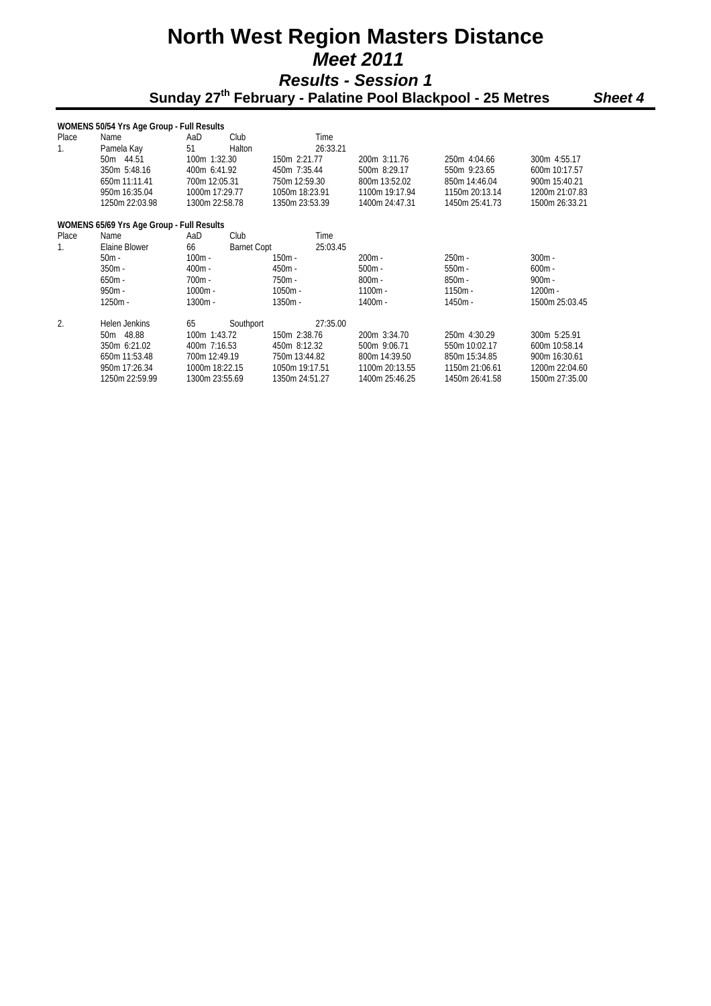### **North West Region Masters Distance**   *Meet 2011 Results - Session 1*   **Sunday 27th February - Palatine Pool Blackpool - 25 Metres** *Sheet 4*

|                                           | WOMENS 50/54 Yrs Age Group - Full Results |                |                    |                |          |                |                |                       |  |  |  |
|-------------------------------------------|-------------------------------------------|----------------|--------------------|----------------|----------|----------------|----------------|-----------------------|--|--|--|
| Place                                     | Name                                      | AaD            | Club               |                | Time     |                |                |                       |  |  |  |
| $\mathbf{1}$ .                            | Pamela Kay                                | 51             | Halton             |                | 26:33.21 |                |                |                       |  |  |  |
|                                           | 50m 44.51                                 | 100m 1:32.30   |                    | 150m 2:21.77   |          | 200m 3:11.76   | 250m 4:04.66   | 300m 4:55.17          |  |  |  |
|                                           | 350m 5:48.16                              | 400m 6:41.92   |                    | 450m 7:35.44   |          | 500m 8:29.17   | 550m 9:23.65   | 600m 10:17.57         |  |  |  |
|                                           | 650m 11:11.41                             | 700m 12:05.31  |                    | 750m 12:59.30  |          | 800m 13:52.02  | 850m 14:46.04  | 900m 15:40.21         |  |  |  |
|                                           | 950m 16:35.04                             | 1000m 17:29.77 |                    | 1050m 18:23.91 |          | 1100m 19:17.94 | 1150m 20:13.14 | 1200m 21:07.83        |  |  |  |
|                                           | 1250m 22:03.98                            | 1300m 22:58.78 |                    | 1350m 23:53.39 |          | 1400m 24:47.31 | 1450m 25:41.73 | 1500m 26:33.21        |  |  |  |
| WOMENS 65/69 Yrs Age Group - Full Results |                                           |                |                    |                |          |                |                |                       |  |  |  |
| Place                                     | Name                                      | AaD            | Club               |                | Time     |                |                |                       |  |  |  |
| 1.                                        | Elaine Blower                             | 66             | <b>Barnet Copt</b> |                | 25:03.45 |                |                |                       |  |  |  |
|                                           | $50m -$                                   | $100m -$       |                    | 150m -         |          | $200m -$       | $250m -$       | $300m -$              |  |  |  |
|                                           | $350m -$                                  | $400m -$       |                    | $450m -$       |          | $500m -$       | $550m -$       | $600m -$              |  |  |  |
|                                           | $650m -$                                  | $700m -$       |                    | 750m -         |          | $800m -$       | $850m -$       | $900m -$<br>$1200m -$ |  |  |  |
|                                           | $950m -$                                  | $1000m -$      |                    | $1050m -$      |          | $1100m -$      | $1150m -$      |                       |  |  |  |
|                                           | $1250m -$                                 | $1300m -$      |                    | $1350m -$      |          | $1400m -$      | $1450m -$      | 1500m 25:03.45        |  |  |  |
| $\overline{2}$ .                          | Helen Jenkins                             | 65             | Southport          |                | 27:35.00 |                |                |                       |  |  |  |
|                                           | 50m 48.88                                 | 100m 1:43.72   |                    | 150m 2:38.76   |          | 200m 3:34.70   | 250m 4:30.29   | 300m 5:25.91          |  |  |  |
|                                           | 350m 6:21.02                              | 400m 7:16.53   |                    | 450m 8:12.32   |          | 500m 9:06.71   | 550m 10:02.17  | 600m 10:58.14         |  |  |  |
|                                           | 650m 11:53.48                             | 700m 12:49.19  |                    | 750m 13:44.82  |          | 800m 14:39.50  | 850m 15:34.85  | 900m 16:30.61         |  |  |  |
|                                           | 950m 17:26.34                             | 1000m 18:22.15 |                    | 1050m 19:17.51 |          | 1100m 20:13.55 | 1150m 21:06.61 | 1200m 22:04.60        |  |  |  |
|                                           | 1250m 22:59.99                            | 1300m 23:55.69 |                    | 1350m 24:51.27 |          | 1400m 25:46.25 | 1450m 26:41.58 | 1500m 27:35.00        |  |  |  |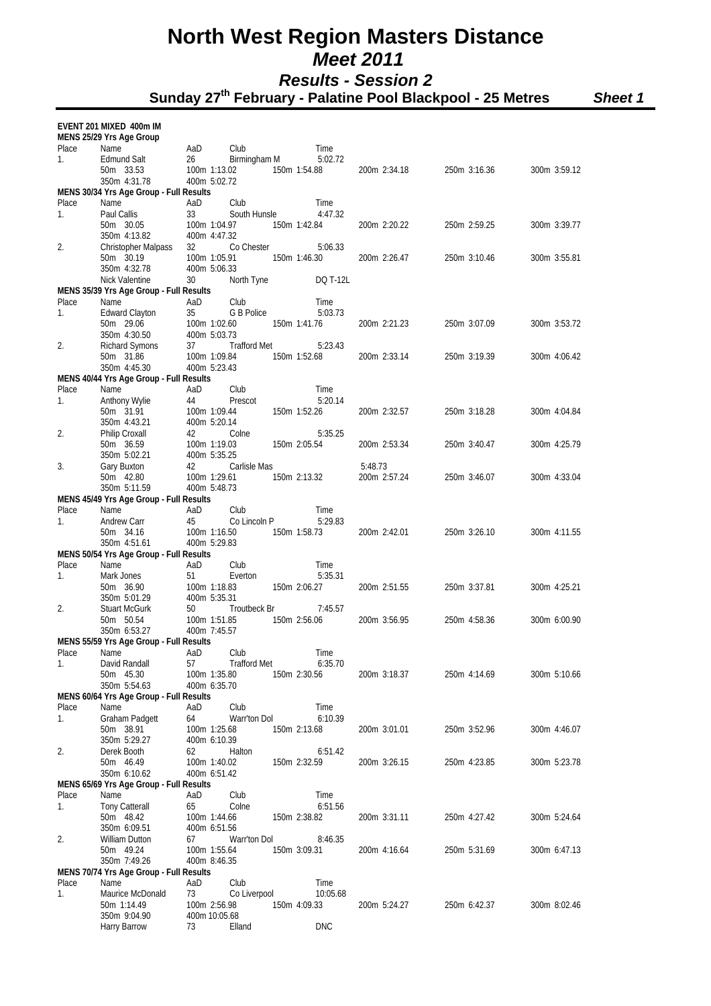**Sunday 27th February - Palatine Pool Blackpool - 25 Metres** *Sheet 1*

### **EVENT 201 MIXED 400m IM**

|             | MENS 25/29 Yrs Age Group                |           |                              |                  |         |              |              |              |
|-------------|-----------------------------------------|-----------|------------------------------|------------------|---------|--------------|--------------|--------------|
| Place       | Name                                    | AaD       | Club                         | Time             |         |              |              |              |
| 1.          | <b>Edmund Salt</b>                      | 26        | Birmingham M                 | 5:02.72          |         |              |              |              |
|             | 50m 33.53<br>350m 4:31.78               |           | 100m 1:13.02<br>400m 5:02.72 | 150m 1:54.88     |         | 200m 2:34.18 | 250m 3:16.36 | 300m 3:59.12 |
|             | MENS 30/34 Yrs Age Group - Full Results |           |                              |                  |         |              |              |              |
| Place       | Name                                    | AaD       | Club                         | Time             |         |              |              |              |
| 1.          | Paul Callis                             | 33        | South Hunsle                 | 4:47.32          |         |              |              |              |
|             | 50m 30.05                               |           | 100m 1:04.97                 | 150m 1:42.84     |         | 200m 2:20.22 | 250m 2:59.25 | 300m 3:39.77 |
|             | 350m 4:13.82                            |           | 400m 4:47.32                 |                  |         |              |              |              |
| 2.          | Christopher Malpass                     | 32        | Co Chester                   | 5:06.33          |         |              |              |              |
|             | 50m 30.19                               |           | 100m 1:05.91                 | 150m 1:46.30     |         | 200m 2:26.47 | 250m 3:10.46 | 300m 3:55.81 |
|             | 350m 4:32.78<br>Nick Valentine          | 30        | 400m 5:06.33<br>North Tyne   | DQ T-12L         |         |              |              |              |
|             | MENS 35/39 Yrs Age Group - Full Results |           |                              |                  |         |              |              |              |
| Place       | Name                                    | AaD       | Club                         | Time             |         |              |              |              |
| 1.          | <b>Edward Clayton</b>                   | 35        | G B Police                   | 5:03.73          |         |              |              |              |
|             | 50m 29.06                               |           | 100m 1:02.60                 | 150m 1:41.76     |         | 200m 2:21.23 | 250m 3:07.09 | 300m 3:53.72 |
|             | 350m 4:30.50                            |           | 400m 5:03.73                 |                  |         |              |              |              |
| 2.          | Richard Symons                          | 37        | Trafford Met                 | 5:23.43          |         |              |              |              |
|             | 50m 31.86<br>350m 4:45.30               |           | 100m 1:09.84<br>400m 5:23.43 | 150m 1:52.68     |         | 200m 2:33.14 | 250m 3:19.39 | 300m 4:06.42 |
|             | MENS 40/44 Yrs Age Group - Full Results |           |                              |                  |         |              |              |              |
| Place       | Name                                    | AaD       | Club                         | Time             |         |              |              |              |
| 1.          | Anthony Wylie                           | 44        | Prescot                      | 5:20.14          |         |              |              |              |
|             | 50m 31.91                               |           | 100m 1:09.44                 | 150m 1:52.26     |         | 200m 2:32.57 | 250m 3:18.28 | 300m 4:04.84 |
|             | 350m 4:43.21                            |           | 400m 5:20.14                 |                  |         |              |              |              |
| 2.          | Philip Croxall                          | 42        | Colne                        | 5:35.25          |         |              |              |              |
|             | 50m 36.59<br>350m 5:02.21               |           | 100m 1:19.03<br>400m 5:35.25 | 150m 2:05.54     |         | 200m 2:53.34 | 250m 3:40.47 | 300m 4:25.79 |
| 3.          | Gary Buxton                             | 42        | Carlisle Mas                 |                  | 5:48.73 |              |              |              |
|             | 50m 42.80                               |           | 100m 1:29.61                 | 150m 2:13.32     |         | 200m 2:57.24 | 250m 3:46.07 | 300m 4:33.04 |
|             | 350m 5:11.59                            |           | 400m 5:48.73                 |                  |         |              |              |              |
|             | MENS 45/49 Yrs Age Group - Full Results |           |                              |                  |         |              |              |              |
| Place       | Name                                    | AaD       | Club                         | Time             |         |              |              |              |
| 1.          | Andrew Carr                             | 45        | Co Lincoln P                 | 5:29.83          |         |              |              |              |
|             | 50m 34.16<br>350m 4:51.61               |           | 100m 1:16.50<br>400m 5:29.83 | 150m 1:58.73     |         | 200m 2:42.01 | 250m 3:26.10 | 300m 4:11.55 |
|             | MENS 50/54 Yrs Age Group - Full Results |           |                              |                  |         |              |              |              |
| Place       | Name                                    | AaD       | Club                         | Time             |         |              |              |              |
| 1.          | Mark Jones                              | 51        | Everton                      | 5:35.31          |         |              |              |              |
|             | 50m 36.90                               |           | 100m 1:18.83                 | 150m 2:06.27     |         | 200m 2:51.55 | 250m 3:37.81 | 300m 4:25.21 |
|             | 350m 5:01.29                            |           | 400m 5:35.31                 |                  |         |              |              |              |
| 2.          | <b>Stuart McGurk</b>                    | 50        | Troutbeck Br                 | 7:45.57          |         |              |              |              |
|             | 50m 50.54<br>350m 6:53.27               |           | 100m 1:51.85<br>400m 7:45.57 | 150m 2:56.06     |         | 200m 3:56.95 | 250m 4:58.36 | 300m 6:00.90 |
|             | MENS 55/59 Yrs Age Group - Full Results |           |                              |                  |         |              |              |              |
| Place       | Name                                    | AaD       | Club                         | Time             |         |              |              |              |
| 1.          | David Randall                           | 57        | <b>Trafford Met</b>          | 6:35.70          |         |              |              |              |
|             | 50m 45.30                               |           | 100m 1:35.80                 | 150m 2:30.56     |         | 200m 3:18.37 | 250m 4:14.69 | 300m 5:10.66 |
|             | 350m 5:54.63                            |           | 400m 6:35.70                 |                  |         |              |              |              |
|             | MENS 60/64 Yrs Age Group - Full Results |           |                              |                  |         |              |              |              |
| Place<br>1. | Name                                    | AaD<br>64 | Club<br>Warr'ton Dol         | Time<br>6:10.39  |         |              |              |              |
|             | Graham Padgett<br>50m 38.91             |           | 100m 1:25.68                 | 150m 2:13.68     |         | 200m 3:01.01 | 250m 3:52.96 | 300m 4:46.07 |
|             | 350m 5:29.27                            |           | 400m 6:10.39                 |                  |         |              |              |              |
| 2.          | Derek Booth                             | 62        | Halton                       | 6:51.42          |         |              |              |              |
|             | 50m 46.49                               |           | 100m 1:40.02                 | 150m 2:32.59     |         | 200m 3:26.15 | 250m 4:23.85 | 300m 5:23.78 |
|             | 350m 6:10.62                            |           | 400m 6:51.42                 |                  |         |              |              |              |
|             | MENS 65/69 Yrs Age Group - Full Results |           |                              |                  |         |              |              |              |
| Place<br>1. | Name<br>Tony Catterall                  | AaD<br>65 | Club<br>Colne                | Time<br>6:51.56  |         |              |              |              |
|             | 50m 48.42                               |           | 100m 1:44.66                 | 150m 2:38.82     |         | 200m 3:31.11 | 250m 4:27.42 | 300m 5:24.64 |
|             | 350m 6:09.51                            |           | 400m 6:51.56                 |                  |         |              |              |              |
| 2.          | William Dutton                          | 67        | Warr'ton Dol                 | 8:46.35          |         |              |              |              |
|             | 50m 49.24                               |           | 100m 1:55.64                 | 150m 3:09.31     |         | 200m 4:16.64 | 250m 5:31.69 | 300m 6:47.13 |
|             | 350m 7:49.26                            |           | 400m 8:46.35                 |                  |         |              |              |              |
|             | MENS 70/74 Yrs Age Group - Full Results |           |                              |                  |         |              |              |              |
| Place<br>1. | Name<br>Maurice McDonald                | AaD<br>73 | Club<br>Co Liverpool         | Time<br>10:05.68 |         |              |              |              |
|             | 50m 1:14.49                             |           | 100m 2:56.98                 | 150m 4:09.33     |         | 200m 5:24.27 | 250m 6:42.37 | 300m 8:02.46 |
|             | 350m 9:04.90                            |           | 400m 10:05.68                |                  |         |              |              |              |
|             | Harry Barrow                            | 73        | Elland                       | <b>DNC</b>       |         |              |              |              |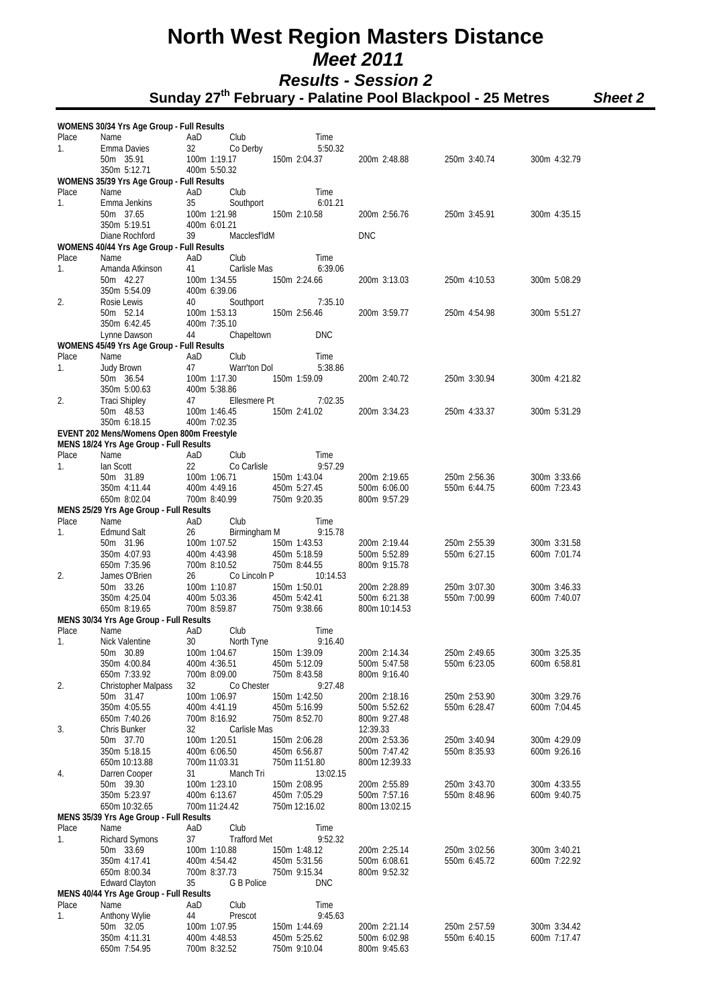|       | WOMENS 30/34 Yrs Age Group - Full Results               |     |                               |                               |                               |                              |                              |
|-------|---------------------------------------------------------|-----|-------------------------------|-------------------------------|-------------------------------|------------------------------|------------------------------|
| Place | Name                                                    | AaD | Club                          | Time                          |                               |                              |                              |
| 1.    | Emma Davies                                             | 32  | Co Derby                      | 5:50.32                       |                               |                              |                              |
|       | 50m 35.91<br>350m 5:12.71                               |     | 100m 1:19.17<br>400m 5:50.32  | 150m 2:04.37                  | 200m 2:48.88                  | 250m 3:40.74                 | 300m 4:32.79                 |
|       | WOMENS 35/39 Yrs Age Group - Full Results               |     |                               |                               |                               |                              |                              |
| Place | Name                                                    | AaD | Club                          | Time                          |                               |                              |                              |
| 1.    | Emma Jenkins                                            | 35  | Southport                     | 6:01.21                       |                               |                              |                              |
|       | 50m 37.65                                               |     | 100m 1:21.98                  | 150m 2:10.58                  | 200m 2:56.76                  | 250m 3:45.91                 | 300m 4:35.15                 |
|       | 350m 5:19.51<br>Diane Rochford                          | 39  | 400m 6:01.21<br>MacclesfldM   |                               | <b>DNC</b>                    |                              |                              |
|       | WOMENS 40/44 Yrs Age Group - Full Results               |     |                               |                               |                               |                              |                              |
| Place | Name                                                    | AaD | Club                          | Time                          |                               |                              |                              |
| 1.    | Amanda Atkinson                                         | 41  | Carlisle Mas                  | 6:39.06                       |                               |                              |                              |
|       | 50m 42.27                                               |     | 100m 1:34.55                  | 150m 2:24.66                  | 200m 3:13.03                  | 250m 4:10.53                 | 300m 5:08.29                 |
| 2.    | 350m 5:54.09<br>Rosie Lewis                             | 40  | 400m 6:39.06<br>Southport     | 7:35.10                       |                               |                              |                              |
|       | 50m 52.14                                               |     | 100m 1:53.13                  | 150m 2:56.46                  | 200m 3:59.77                  | 250m 4:54.98                 | 300m 5:51.27                 |
|       | 350m 6:42.45                                            |     | 400m 7:35.10                  |                               |                               |                              |                              |
|       | Lynne Dawson                                            | 44  | Chapeltown                    | <b>DNC</b>                    |                               |                              |                              |
| Place | WOMENS 45/49 Yrs Age Group - Full Results<br>Name       | AaD | Club                          | Time                          |                               |                              |                              |
| 1.    | Judy Brown                                              | 47  | Warr'ton Dol                  | 5:38.86                       |                               |                              |                              |
|       | 50m 36.54                                               |     | 100m 1:17.30                  | 150m 1:59.09                  | 200m 2:40.72                  | 250m 3:30.94                 | 300m 4:21.82                 |
|       | 350m 5:00.63                                            |     | 400m 5:38.86                  |                               |                               |                              |                              |
| 2.    | <b>Traci Shipley</b>                                    | 47  | Ellesmere Pt                  | 7:02.35                       |                               |                              |                              |
|       | 50m 48.53<br>350m 6:18.15                               |     | 100m 1:46.45<br>400m 7:02.35  | 150m 2:41.02                  | 200m 3:34.23                  | 250m 4:33.37                 | 300m 5:31.29                 |
|       | EVENT 202 Mens/Womens Open 800m Freestyle               |     |                               |                               |                               |                              |                              |
|       | MENS 18/24 Yrs Age Group - Full Results                 |     |                               |                               |                               |                              |                              |
| Place | Name                                                    | AaD | Club                          | Time                          |                               |                              |                              |
| 1.    | lan Scott                                               | 22  | Co Carlisle                   | 9:57.29                       |                               |                              |                              |
|       | 50m 31.89<br>350m 4:11.44                               |     | 100m 1:06.71<br>400m 4:49.16  | 150m 1:43.04<br>450m 5:27.45  | 200m 2:19.65<br>500m 6:06.00  | 250m 2:56.36<br>550m 6:44.75 | 300m 3:33.66<br>600m 7:23.43 |
|       | 650m 8:02.04                                            |     | 700m 8:40.99                  | 750m 9:20.35                  | 800m 9:57.29                  |                              |                              |
|       | MENS 25/29 Yrs Age Group - Full Results                 |     |                               |                               |                               |                              |                              |
| Place | Name                                                    | AaD | Club                          | Time                          |                               |                              |                              |
| 1.    | <b>Edmund Salt</b>                                      | 26  | Birmingham M                  | 9:15.78                       |                               |                              |                              |
|       | 50m 31.96<br>350m 4:07.93                               |     | 100m 1:07.52<br>400m 4:43.98  | 150m 1:43.53<br>450m 5:18.59  | 200m 2:19.44<br>500m 5:52.89  | 250m 2:55.39<br>550m 6:27.15 | 300m 3:31.58<br>600m 7:01.74 |
|       | 650m 7:35.96                                            |     | 700m 8:10.52                  | 750m 8:44.55                  | 800m 9:15.78                  |                              |                              |
| 2.    | James O'Brien                                           | 26  | Co Lincoln P                  | 10:14.53                      |                               |                              |                              |
|       | 50m 33.26                                               |     | 100m 1:10.87                  | 150m 1:50.01                  | 200m 2:28.89                  | 250m 3:07.30                 | 300m 3:46.33                 |
|       | 350m 4:25.04                                            |     | 400m 5:03.36                  | 450m 5:42.41                  | 500m 6:21.38                  | 550m 7:00.99                 | 600m 7:40.07                 |
|       | 650m 8:19.65<br>MENS 30/34 Yrs Age Group - Full Results |     | 700m 8:59.87                  | 750m 9:38.66                  | 800m 10:14.53                 |                              |                              |
| Place | Name                                                    | AaD | Club                          | Time                          |                               |                              |                              |
| 1.    | Nick Valentine                                          | 30  | North Tyne                    | 9:16.40                       |                               |                              |                              |
|       | 50m 30.89                                               |     | 100m 1:04.67                  | 150m 1:39.09                  | 200m 2:14.34                  | 250m 2:49.65                 | 300m 3:25.35                 |
|       | 350m 4:00.84                                            |     | 400m 4:36.51                  | 450m 5:12.09                  | 500m 5:47.58                  | 550m 6:23.05                 | 600m 6:58.81                 |
| 2.    | 650m 7:33.92<br>Christopher Malpass                     | 32  | 700m 8:09.00<br>Co Chester    | 750m 8:43.58<br>9:27.48       | 800m 9:16.40                  |                              |                              |
|       | 50m 31.47                                               |     | 100m 1:06.97                  | 150m 1:42.50                  | 200m 2:18.16                  | 250m 2:53.90                 | 300m 3:29.76                 |
|       | 350m 4:05.55                                            |     | 400m 4:41.19                  | 450m 5:16.99                  | 500m 5:52.62                  | 550m 6:28.47                 | 600m 7:04.45                 |
|       | 650m 7:40.26                                            |     | 700m 8:16.92                  | 750m 8:52.70                  | 800m 9:27.48                  |                              |                              |
| 3.    | Chris Bunker<br>50m 37.70                               | 32  | Carlisle Mas                  |                               | 12:39.33                      |                              |                              |
|       | 350m 5:18.15                                            |     | 100m 1:20.51<br>400m 6:06.50  | 150m 2:06.28<br>450m 6:56.87  | 200m 2:53.36<br>500m 7:47.42  | 250m 3:40.94<br>550m 8:35.93 | 300m 4:29.09<br>600m 9:26.16 |
|       | 650m 10:13.88                                           |     | 700m 11:03.31                 | 750m 11:51.80                 | 800m 12:39.33                 |                              |                              |
| 4.    | Darren Cooper                                           | 31  | Manch Tri                     | 13:02.15                      |                               |                              |                              |
|       | 50m 39.30                                               |     | 100m 1:23.10                  | 150m 2:08.95                  | 200m 2:55.89                  | 250m 3:43.70                 | 300m 4:33.55                 |
|       | 350m 5:23.97<br>650m 10:32.65                           |     | 400m 6:13.67<br>700m 11:24.42 | 450m 7:05.29<br>750m 12:16.02 | 500m 7:57.16<br>800m 13:02.15 | 550m 8:48.96                 | 600m 9:40.75                 |
|       | MENS 35/39 Yrs Age Group - Full Results                 |     |                               |                               |                               |                              |                              |
| Place | Name                                                    | AaD | Club                          | Time                          |                               |                              |                              |
| 1.    | <b>Richard Symons</b>                                   | 37  | <b>Trafford Met</b>           | 9:52.32                       |                               |                              |                              |
|       | 50m 33.69                                               |     | 100m 1:10.88                  | 150m 1:48.12                  | 200m 2:25.14                  | 250m 3:02.56                 | 300m 3:40.21                 |
|       | 350m 4:17.41                                            |     | 400m 4:54.42<br>700m 8:37.73  | 450m 5:31.56                  | 500m 6:08.61                  | 550m 6:45.72                 | 600m 7:22.92                 |
|       | 650m 8:00.34<br><b>Edward Clayton</b>                   | 35  | G B Police                    | 750m 9:15.34<br><b>DNC</b>    | 800m 9:52.32                  |                              |                              |
|       | MENS 40/44 Yrs Age Group - Full Results                 |     |                               |                               |                               |                              |                              |
| Place | Name                                                    | AaD | Club                          | Time                          |                               |                              |                              |
| 1.    | Anthony Wylie                                           | 44  | Prescot                       | 9:45.63                       |                               |                              |                              |
|       | 50m 32.05<br>350m 4:11.31                               |     | 100m 1:07.95<br>400m 4:48.53  | 150m 1:44.69<br>450m 5:25.62  | 200m 2:21.14<br>500m 6:02.98  | 250m 2:57.59<br>550m 6:40.15 | 300m 3:34.42<br>600m 7:17.47 |
|       | 650m 7:54.95                                            |     | 700m 8:32.52                  | 750m 9:10.04                  | 800m 9:45.63                  |                              |                              |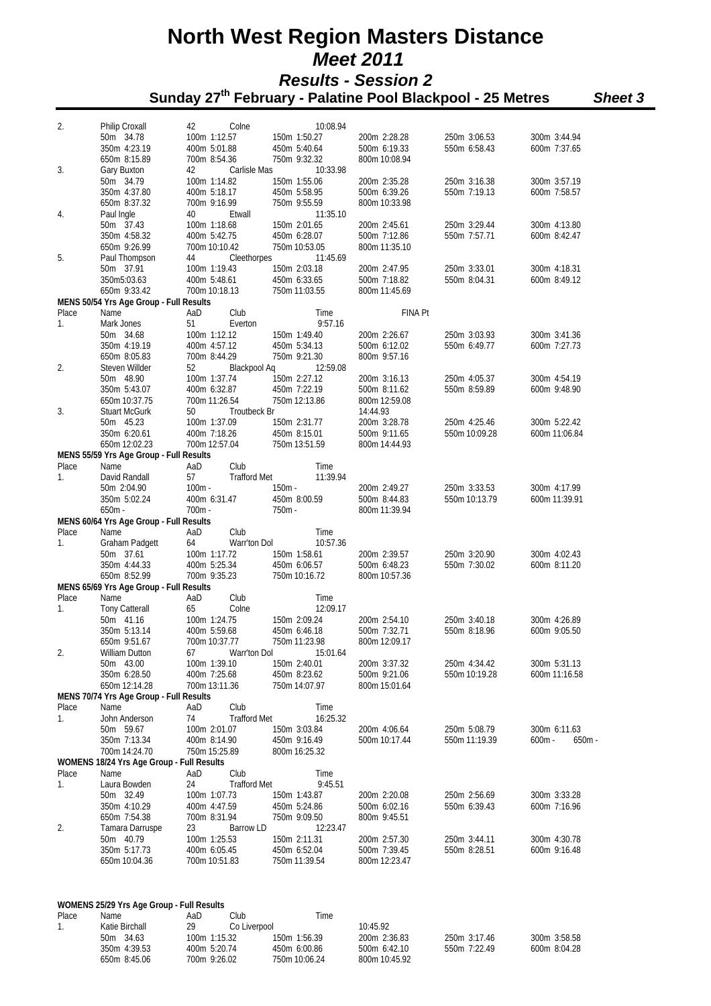| 2.          | Philip Croxall                            | 42<br>Colne                              | 10:08.94                      |                               |                               |                                      |
|-------------|-------------------------------------------|------------------------------------------|-------------------------------|-------------------------------|-------------------------------|--------------------------------------|
|             | 50m 34.78                                 | 100m 1:12.57                             | 150m 1:50.27                  | 200m 2:28.28                  | 250m 3:06.53                  | 300m 3:44.94                         |
|             | 350m 4:23.19                              | 400m 5:01.88                             | 450m 5:40.64                  | 500m 6:19.33                  | 550m 6:58.43                  | 600m 7:37.65                         |
|             | 650m 8:15.89                              | 700m 8:54.36                             | 750m 9:32.32                  | 800m 10:08.94                 |                               |                                      |
| 3.          | Gary Buxton                               | Carlisle Mas<br>42                       | 10:33.98                      |                               |                               |                                      |
|             | 50m 34.79<br>350m 4:37.80                 | 100m 1:14.82<br>400m 5:18.17             | 150m 1:55.06<br>450m 5:58.95  | 200m 2:35.28                  | 250m 3:16.38<br>550m 7:19.13  | 300m 3:57.19<br>600m 7:58.57         |
|             | 650m 8:37.32                              | 700m 9:16.99                             | 750m 9:55.59                  | 500m 6:39.26<br>800m 10:33.98 |                               |                                      |
| 4.          | Paul Ingle                                | Etwall<br>40                             | 11:35.10                      |                               |                               |                                      |
|             | 50m 37.43                                 | 100m 1:18.68                             | 150m 2:01.65                  | 200m 2:45.61                  | 250m 3:29.44                  | 300m 4:13.80                         |
|             | 350m 4:58.32                              | 400m 5:42.75                             | 450m 6:28.07                  | 500m 7:12.86                  | 550m 7:57.71                  | 600m 8:42.47                         |
|             | 650m 9:26.99                              | 700m 10:10.42                            | 750m 10:53.05                 | 800m 11:35.10                 |                               |                                      |
| 5.          | Paul Thompson                             | 44<br>Cleethorpes                        | 11:45.69                      |                               |                               |                                      |
|             | 50m 37.91                                 | 100m 1:19.43                             | 150m 2:03.18                  | 200m 2:47.95                  | 250m 3:33.01                  | 300m 4:18.31                         |
|             | 350m5:03.63<br>650m 9:33.42               | 400m 5:48.61<br>700m 10:18.13            | 450m 6:33.65<br>750m 11:03.55 | 500m 7:18.82                  | 550m 8:04.31                  | 600m 8:49.12                         |
|             | MENS 50/54 Yrs Age Group - Full Results   |                                          |                               | 800m 11:45.69                 |                               |                                      |
| Place       | Name                                      | AaD<br>Club                              | Time                          | <b>FINA Pt</b>                |                               |                                      |
| 1.          | Mark Jones                                | 51<br>Everton                            | 9:57.16                       |                               |                               |                                      |
|             | 50m 34.68                                 | 100m 1:12.12                             | 150m 1:49.40                  | 200m 2:26.67                  | 250m 3:03.93                  | 300m 3:41.36                         |
|             | 350m 4:19.19                              | 400m 4:57.12                             | 450m 5:34.13                  | 500m 6:12.02                  | 550m 6:49.77                  | 600m 7:27.73                         |
|             | 650m 8:05.83                              | 700m 8:44.29                             | 750m 9:21.30                  | 800m 9:57.16                  |                               |                                      |
| 2.          | Steven Willder                            | 52<br>Blackpool Aq                       | 12:59.08                      |                               |                               |                                      |
|             | 50m 48.90<br>350m 5:43.07                 | 100m 1:37.74<br>400m 6:32.87             | 150m 2:27.12<br>450m 7:22.19  | 200m 3:16.13<br>500m 8:11.62  | 250m 4:05.37<br>550m 8:59.89  | 300m 4:54.19<br>600m 9:48.90         |
|             | 650m 10:37.75                             | 700m 11:26.54                            | 750m 12:13.86                 | 800m 12:59.08                 |                               |                                      |
| 3.          | <b>Stuart McGurk</b>                      | 50<br>Troutbeck Br                       |                               | 14:44.93                      |                               |                                      |
|             | 50m 45.23                                 | 100m 1:37.09                             | 150m 2:31.77                  | 200m 3:28.78                  | 250m 4:25.46                  | 300m 5:22.42                         |
|             | 350m 6:20.61                              | 400m 7:18.26                             | 450m 8:15.01                  | 500m 9:11.65                  | 550m 10:09.28                 | 600m 11:06.84                        |
|             | 650m 12:02.23                             | 700m 12:57.04                            | 750m 13:51.59                 | 800m 14:44.93                 |                               |                                      |
|             | MENS 55/59 Yrs Age Group - Full Results   |                                          |                               |                               |                               |                                      |
| Place<br>1. | Name<br>David Randall                     | AaD<br>Club<br>57<br><b>Trafford Met</b> | Time<br>11:39.94              |                               |                               |                                      |
|             | 50m 2:04.90                               | $100m -$                                 | $150m -$                      | 200m 2:49.27                  | 250m 3:33.53                  | 300m 4:17.99                         |
|             | 350m 5:02.24                              | 400m 6:31.47                             | 450m 8:00.59                  | 500m 8:44.83                  | 550m 10:13.79                 | 600m 11:39.91                        |
|             | $650m -$                                  | $700m -$                                 | 750m -                        | 800m 11:39.94                 |                               |                                      |
|             | MENS 60/64 Yrs Age Group - Full Results   |                                          |                               |                               |                               |                                      |
| Place       | Name                                      | Club<br>AaD                              | Time                          |                               |                               |                                      |
| 1.          | <b>Graham Padgett</b>                     | 64<br>Warr'ton Dol                       | 10:57.36                      |                               |                               |                                      |
|             | 50m 37.61<br>350m 4:44.33                 | 100m 1:17.72<br>400m 5:25.34             | 150m 1:58.61<br>450m 6:06.57  | 200m 2:39.57<br>500m 6:48.23  | 250m 3:20.90<br>550m 7:30.02  | 300m 4:02.43<br>600m 8:11.20         |
|             | 650m 8:52.99                              | 700m 9:35.23                             | 750m 10:16.72                 | 800m 10:57.36                 |                               |                                      |
|             | MENS 65/69 Yrs Age Group - Full Results   |                                          |                               |                               |                               |                                      |
| Place       | Name                                      | AaD<br>Club                              | Time                          |                               |                               |                                      |
| 1.          | <b>Tony Catterall</b>                     | 65<br>Colne                              | 12:09.17                      |                               |                               |                                      |
|             | 50m 41.16                                 | 100m 1:24.75                             | 150m 2:09.24                  | 200m 2:54.10                  | 250m 3:40.18                  | 300m 4:26.89                         |
|             | 350m 5:13.14                              | 400m 5:59.68                             | 450m 6:46.18                  | 500m 7:32.71                  | 550m 8:18.96                  | 600m 9:05.50                         |
| 2.          | 650m 9:51.67<br><b>William Dutton</b>     | 700m 10:37.77                            | 750m 11:23.98                 | 800m 12:09.17                 |                               |                                      |
|             | 50m 43.00                                 | 100m 1:39.10                             | 150m 2:40.01                  | 200m 3:37.32                  | 250m 4:34.42                  | 300m 5:31.13                         |
|             | 350m 6:28.50                              | 400m 7:25.68                             | 450m 8:23.62                  | 500m 9:21.06                  | 550m 10:19.28                 | 600m 11:16.58                        |
|             | 650m 12:14.28                             | 700m 13:11.36                            | 750m 14:07.97                 | 800m 15:01.64                 |                               |                                      |
|             | MENS 70/74 Yrs Age Group - Full Results   |                                          |                               |                               |                               |                                      |
| Place       | Name                                      | AaD<br>Club                              | Time                          |                               |                               |                                      |
| 1.          | John Anderson                             | 74<br><b>Trafford Met</b>                | 16:25.32                      |                               |                               |                                      |
|             | 50m 59.67<br>350m 7:13.34                 | 100m 2:01.07<br>400m 8:14.90             | 150m 3:03.84<br>450m 9:16.49  | 200m 4:06.64<br>500m 10:17.44 | 250m 5:08.79<br>550m 11:19.39 | 300m 6:11.63<br>$600m -$<br>$650m -$ |
|             | 700m 14:24.70                             | 750m 15:25.89                            | 800m 16:25.32                 |                               |                               |                                      |
|             | WOMENS 18/24 Yrs Age Group - Full Results |                                          |                               |                               |                               |                                      |
| Place       | Name                                      | AaD<br>Club                              | Time                          |                               |                               |                                      |
| 1.          | Laura Bowden                              | 24<br><b>Trafford Met</b>                | 9:45.51                       |                               |                               |                                      |
|             | 50m 32.49                                 | 100m 1:07.73                             | 150m 1:43.87                  | 200m 2:20.08                  | 250m 2:56.69                  | 300m 3:33.28                         |
|             | 350m 4:10.29                              | 400m 4:47.59                             | 450m 5:24.86                  | 500m 6:02.16                  | 550m 6:39.43                  | 600m 7:16.96                         |
| 2.          | 650m 7:54.38<br>Tamara Darruspe           | 700m 8:31.94<br>23<br>Barrow LD          | 750m 9:09.50<br>12:23.47      | 800m 9:45.51                  |                               |                                      |
|             | 50m 40.79                                 | 100m 1:25.53                             | 150m 2:11.31                  | 200m 2:57.30                  | 250m 3:44.11                  | 300m 4:30.78                         |
|             | 350m 5:17.73                              | 400m 6:05.45                             | 450m 6:52.04                  | 500m 7:39.45                  | 550m 8:28.51                  | 600m 9:16.48                         |
|             | 650m 10:04.36                             | 700m 10:51.83                            | 750m 11:39.54                 | 800m 12:23.47                 |                               |                                      |
|             |                                           |                                          |                               |                               |                               |                                      |
|             |                                           |                                          |                               |                               |                               |                                      |
|             | WOMENS 25/29 Yrs Age Group - Full Results |                                          |                               |                               |                               |                                      |
| Place       | Name                                      | Club<br>AaD                              | Time                          |                               |                               |                                      |
| 1.          | Katie Birchall                            | 29<br>Co Liverpool                       |                               | 10:45.92                      |                               |                                      |
|             | 50m 34.63                                 | 100m 1:15.32                             | 150m 1:56.39                  | 200m 2:36.83                  | 250m 3:17.46                  | 300m 3:58.58                         |
|             | 350m 4:39.53                              | 400m 5:20.74                             | 450m 6:00.86                  | 500m 6:42.10                  | 550m 7:22.49                  | 600m 8:04.28                         |
|             | 650m 8:45.06                              | 700m 9:26.02                             | 750m 10:06.24                 | 800m 10:45.92                 |                               |                                      |